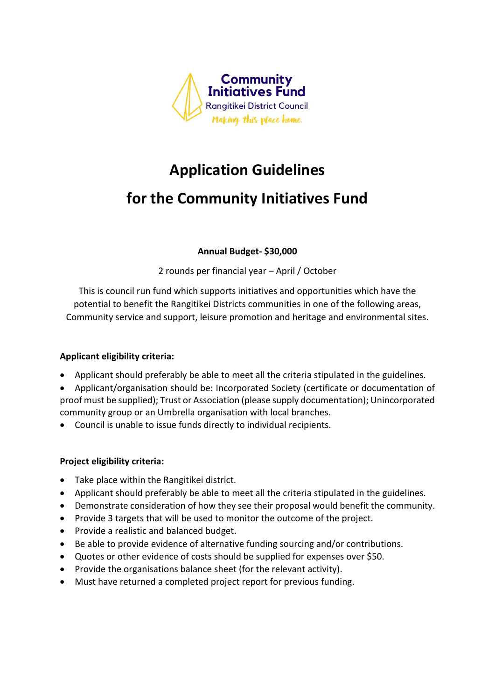

# **Application Guidelines**

# **for the Community Initiatives Fund**

# **Annual Budget- \$30,000**

2 rounds per financial year – April / October

This is council run fund which supports initiatives and opportunities which have the potential to benefit the Rangitikei Districts communities in one of the following areas, Community service and support, leisure promotion and heritage and environmental sites.

#### **Applicant eligibility criteria:**

- Applicant should preferably be able to meet all the criteria stipulated in the guidelines.
- Applicant/organisation should be: Incorporated Society (certificate or documentation of proof must be supplied); Trust or Association (please supply documentation); Unincorporated community group or an Umbrella organisation with local branches.
- Council is unable to issue funds directly to individual recipients.

#### **Project eligibility criteria:**

- Take place within the Rangitikei district.
- Applicant should preferably be able to meet all the criteria stipulated in the guidelines.
- Demonstrate consideration of how they see their proposal would benefit the community.
- Provide 3 targets that will be used to monitor the outcome of the project.
- Provide a realistic and balanced budget.
- Be able to provide evidence of alternative funding sourcing and/or contributions.
- Quotes or other evidence of costs should be supplied for expenses over \$50.
- Provide the organisations balance sheet (for the relevant activity).
- Must have returned a completed project report for previous funding.